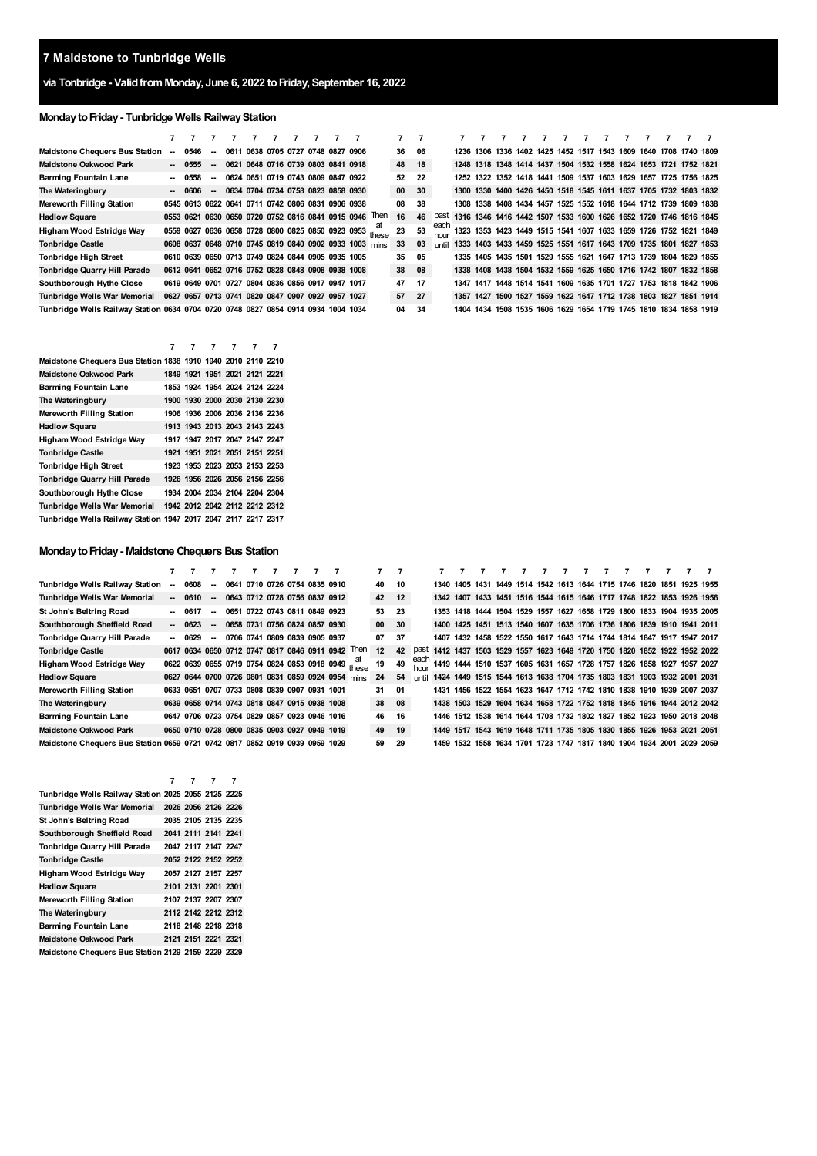# **via Tonbridge - ValidfromMonday, June 6, 2022 toFriday, September 16, 2022**

# **MondaytoFriday- Tunbridge Wells RailwayStation**

| <b>Maidstone Chequers Bus Station</b>                                             | $\overline{\phantom{a}}$ | 0546    | $\sim$                   | 0611 0638 0705 0727 0748 0827 0906                |  |  |                                                        |                                                         | 36    | - 06 |              |  |  |  |  |  | 1236 1306 1336 1402 1425 1452 1517 1543 1609 1640 1708 1740 1809 |  |
|-----------------------------------------------------------------------------------|--------------------------|---------|--------------------------|---------------------------------------------------|--|--|--------------------------------------------------------|---------------------------------------------------------|-------|------|--------------|--|--|--|--|--|------------------------------------------------------------------|--|
| <b>Maidstone Oakwood Park</b>                                                     |                          | $-0555$ | $\overline{\phantom{a}}$ | 0621 0648 0716 0739 0803 0841 0918                |  |  |                                                        |                                                         | 48    | 18   |              |  |  |  |  |  | 1248 1318 1348 1414 1437 1504 1532 1558 1624 1653 1721 1752 1821 |  |
| <b>Barming Fountain Lane</b>                                                      | -                        | 0558    | $\overline{\phantom{a}}$ | 0624 0651 0719 0743 0809 0847 0922                |  |  |                                                        |                                                         | 52    | - 22 |              |  |  |  |  |  | 1252 1322 1352 1418 1441 1509 1537 1603 1629 1657 1725 1756 1825 |  |
| The Wateringbury                                                                  |                          | - 0606  | $\sim$                   | 0634 0704 0734 0758 0823 0858 0930                |  |  |                                                        |                                                         | 00    | 30   |              |  |  |  |  |  | 1300 1330 1400 1426 1450 1518 1545 1611 1637 1705 1732 1803 1832 |  |
| Mereworth Filling Station                                                         |                          |         |                          | 0545 0613 0622 0641 0711 0742 0806 0831 0906 0938 |  |  |                                                        |                                                         | 08    | 38   |              |  |  |  |  |  | 1308 1338 1408 1434 1457 1525 1552 1618 1644 1712 1739 1809 1838 |  |
| <b>Hadlow Square</b>                                                              |                          |         |                          |                                                   |  |  | 0553 0621 0630 0650 0720 0752 0816 0841 0915 0946      | <b>Then</b>                                             | 16    | 46   | past         |  |  |  |  |  | 1316 1346 1416 1442 1507 1533 1600 1626 1652 1720 1746 1816 1845 |  |
| Higham Wood Estridge Way                                                          |                          |         |                          |                                                   |  |  |                                                        | 0559 0627 0636 0658 0728 0800 0825 0850 0923 0953 these |       | 53   | each         |  |  |  |  |  | 1323 1353 1423 1449 1515 1541 1607 1633 1659 1726 1752 1821 1849 |  |
| <b>Tonbridge Castle</b>                                                           |                          |         |                          |                                                   |  |  | 0608 0637 0648 0710 0745 0819 0840 0902 0933 1003 mins |                                                         | 33    | 03   | <b>until</b> |  |  |  |  |  | 1333 1403 1433 1459 1525 1551 1617 1643 1709 1735 1801 1827 1853 |  |
| <b>Tonbridge High Street</b>                                                      |                          |         |                          | 0610 0639 0650 0713 0749 0824 0844 0905 0935 1005 |  |  |                                                        |                                                         | 35    | 05   |              |  |  |  |  |  | 1335 1405 1435 1501 1529 1555 1621 1647 1713 1739 1804 1829 1855 |  |
| Tonbridge Quarry Hill Parade                                                      |                          |         |                          | 0612 0641 0652 0716 0752 0828 0848 0908 0938 1008 |  |  |                                                        |                                                         | 38 08 |      |              |  |  |  |  |  | 1338 1408 1438 1504 1532 1559 1625 1650 1716 1742 1807 1832 1858 |  |
| Southborough Hythe Close                                                          |                          |         |                          | 0619 0649 0701 0727 0804 0836 0856 0917 0947 1017 |  |  |                                                        |                                                         | 47    | 17   |              |  |  |  |  |  | 1347 1417 1448 1514 1541 1609 1635 1701 1727 1753 1818 1842 1906 |  |
| Tunbridge Wells War Memorial                                                      |                          |         |                          | 0627 0657 0713 0741 0820 0847 0907 0927 0957 1027 |  |  |                                                        |                                                         | 57    | - 27 |              |  |  |  |  |  | 1357 1427 1500 1527 1559 1622 1647 1712 1738 1803 1827 1851 1914 |  |
| Tunbridge Wells Railway Station 0634 0704 0720 0748 0827 0854 0914 0934 1004 1034 |                          |         |                          |                                                   |  |  |                                                        |                                                         | 04    | 34   |              |  |  |  |  |  | 1404 1434 1508 1535 1606 1629 1654 1719 1745 1810 1834 1858 1919 |  |

|                                                               | 7 | 7                             | 7 |  |  |
|---------------------------------------------------------------|---|-------------------------------|---|--|--|
| Maidstone Chequers Bus Station 1838 1910 1940 2010 2110 2210  |   |                               |   |  |  |
| <b>Maidstone Oakwood Park</b>                                 |   | 1849 1921 1951 2021 2121 2221 |   |  |  |
| <b>Barming Fountain Lane</b>                                  |   | 1853 1924 1954 2024 2124 2224 |   |  |  |
| The Wateringbury                                              |   | 1900 1930 2000 2030 2130 2230 |   |  |  |
| <b>Mereworth Filling Station</b>                              |   | 1906 1936 2006 2036 2136 2236 |   |  |  |
| <b>Hadlow Square</b>                                          |   | 1913 1943 2013 2043 2143 2243 |   |  |  |
| Higham Wood Estridge Way                                      |   | 1917 1947 2017 2047 2147 2247 |   |  |  |
| <b>Tonbridge Castle</b>                                       |   | 1921 1951 2021 2051 2151 2251 |   |  |  |
| <b>Tonbridge High Street</b>                                  |   | 1923 1953 2023 2053 2153 2253 |   |  |  |
| <b>Tonbridge Quarry Hill Parade</b>                           |   | 1926 1956 2026 2056 2156 2256 |   |  |  |
| Southborough Hythe Close                                      |   | 1934 2004 2034 2104 2204 2304 |   |  |  |
| Tunbridge Wells War Memorial                                  |   | 1942 2012 2042 2112 2212 2312 |   |  |  |
| Tunbridge Wells Railway Station 1947 2017 2047 2117 2217 2317 |   |                               |   |  |  |

#### **MondaytoFriday- Maidstone Chequers Bus Station**

|                                                                             |                          |         |                          |  |                                              |  |                                                   |                                                    | $\overline{7}$ | $\overline{7}$ |             |                                                                             |  |  |  |  |  |  |
|-----------------------------------------------------------------------------|--------------------------|---------|--------------------------|--|----------------------------------------------|--|---------------------------------------------------|----------------------------------------------------|----------------|----------------|-------------|-----------------------------------------------------------------------------|--|--|--|--|--|--|
| Tunbridge Wells Railway Station                                             | $\overline{\phantom{a}}$ | 0608    | $\sim$                   |  | 0641 0710 0726 0754 0835 0910                |  |                                                   |                                                    | 40             | 10             |             | 1340 1405 1431 1449 1514 1542 1613 1644 1715 1746 1820 1851 1925 1955       |  |  |  |  |  |  |
| Tunbridge Wells War Memorial                                                |                          | $-0610$ | $\sim$                   |  | 0643 0712 0728 0756 0837 0912                |  |                                                   |                                                    | 42             | 12             |             | 1342 1407 1433 1451 1516 1544 1615 1646 1717 1748 1822 1853 1926 1956       |  |  |  |  |  |  |
| St John's Beltring Road                                                     |                          | 0617    | $\overline{\phantom{a}}$ |  | 0651 0722 0743 0811 0849 0923                |  |                                                   |                                                    | 53             | -23            |             | 1353 1418 1444 1504 1529 1557 1627 1658 1729 1800 1833 1904 1935 2005       |  |  |  |  |  |  |
| Southborough Sheffield Road                                                 |                          | $-0623$ | $\sim$                   |  | 0658 0731 0756 0824 0857 0930                |  |                                                   |                                                    | 00             | 30             |             | 1400 1425 1451 1513 1540 1607 1635 1706 1736 1806 1839 1910 1941 2011       |  |  |  |  |  |  |
| Tonbridge Quarry Hill Parade                                                |                          | $-0629$ | $\sim$                   |  | 0706 0741 0809 0839 0905 0937                |  |                                                   |                                                    | 07             | - 37           |             | 1407 1432 1458 1522 1550 1617 1643 1714 1744 1814 1847 1917 1947 2017       |  |  |  |  |  |  |
| <b>Tonbridge Castle</b>                                                     |                          |         |                          |  |                                              |  | 0617 0634 0650 0712 0747 0817 0846 0911 0942      | Then                                               | 12             | 42             | past        | 1412 1437 1503 1529 1557 1623 1649 1720 1750 1820 1852 1922 1952 2022       |  |  |  |  |  |  |
| Higham Wood Estridge Way                                                    |                          |         |                          |  |                                              |  |                                                   | 0622 0639 0655 0719 0754 0824 0853 0918 0949 these | 19             | 49             | each<br>hou | 1419 1444 1510 1537 1605 1631 1657 1728 1757 1826 1858 1927 1957 2027       |  |  |  |  |  |  |
| <b>Hadlow Square</b>                                                        |                          |         |                          |  |                                              |  | 0627 0644 0700 0726 0801 0831 0859 0924 0954 mins |                                                    | 24             | 54             |             | until 1424 1449 1515 1544 1613 1638 1704 1735 1803 1831 1903 1932 2001 2031 |  |  |  |  |  |  |
| Mereworth Filling Station                                                   |                          |         |                          |  | 0633 0651 0707 0733 0808 0839 0907 0931 1001 |  |                                                   |                                                    | 31             | 01             |             | 1431 1456 1522 1554 1623 1647 1712 1742 1810 1838 1910 1939 2007 2037       |  |  |  |  |  |  |
| The Wateringbury                                                            |                          |         |                          |  | 0639 0658 0714 0743 0818 0847 0915 0938 1008 |  |                                                   |                                                    | 38             | - 08           |             | 1438 1503 1529 1604 1634 1658 1722 1752 1818 1845 1916 1944 2012 2042       |  |  |  |  |  |  |
| Barming Fountain Lane                                                       |                          |         |                          |  | 0647 0706 0723 0754 0829 0857 0923 0946 1016 |  |                                                   |                                                    | 46             | 16             |             | 1446 1512 1538 1614 1644 1708 1732 1802 1827 1852 1923 1950 2018 2048       |  |  |  |  |  |  |
| Maidstone Oakwood Park                                                      |                          |         |                          |  | 0650 0710 0728 0800 0835 0903 0927 0949 1019 |  |                                                   |                                                    | 49             | 19             |             | 1449 1517 1543 1619 1648 1711 1735 1805 1830 1855 1926 1953 2021 2051       |  |  |  |  |  |  |
| Maidstone Chequers Bus Station 0659 0721 0742 0817 0852 0919 0939 0959 1029 |                          |         |                          |  |                                              |  |                                                   |                                                    | 59             | 29             |             | 1459 1532 1558 1634 1701 1723 1747 1817 1840 1904 1934 2001 2029 2059       |  |  |  |  |  |  |

|                                                     | 7 | 7                   | 7 |
|-----------------------------------------------------|---|---------------------|---|
| Tunbridge Wells Railway Station 2025 2055 2125 2225 |   |                     |   |
| Tunbridge Wells War Memorial                        |   | 2026 2056 2126 2226 |   |
| St John's Beltring Road                             |   | 2035 2105 2135 2235 |   |
| Southborough Sheffield Road                         |   | 2041 2111 2141 2241 |   |
| Tonbridge Quarry Hill Parade                        |   | 2047 2117 2147 2247 |   |
| <b>Tonbridge Castle</b>                             |   | 2052 2122 2152 2252 |   |
| Higham Wood Estridge Way                            |   | 2057 2127 2157 2257 |   |
| <b>Hadlow Square</b>                                |   | 2101 2131 2201 2301 |   |
| Mereworth Filling Station                           |   | 2107 2137 2207 2307 |   |
| The Wateringbury                                    |   | 2112 2142 2212 2312 |   |
| <b>Barming Fountain Lane</b>                        |   | 2118 2148 2218 2318 |   |
| Maidstone Oakwood Park                              |   | 2121 2151 2221 2321 |   |
| Maidstone Chequers Bus Station 2129 2159 2229 2329  |   |                     |   |